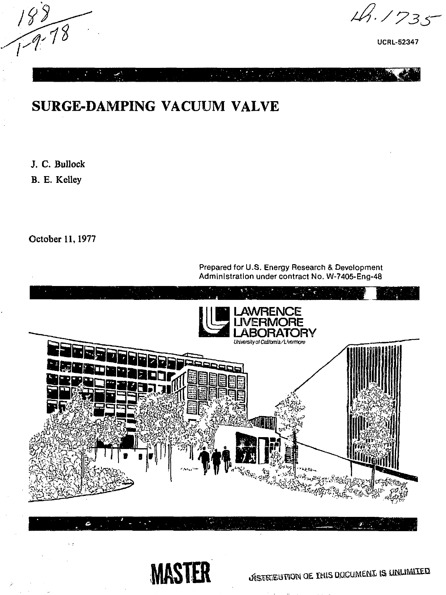$189$ 

**A.1735** 

UCRL-52347

# SURGE-DAMPING VACUUM VALVE

J. C. Bullock

B. E. Kelley

October 11,1977

ċ.

Prepared for U.S. Energy Research & Development Administration under contract No. W-7405-Eng-48





*JISTREBUTION GE. THIS DOCUMENT IS UNLIMITED*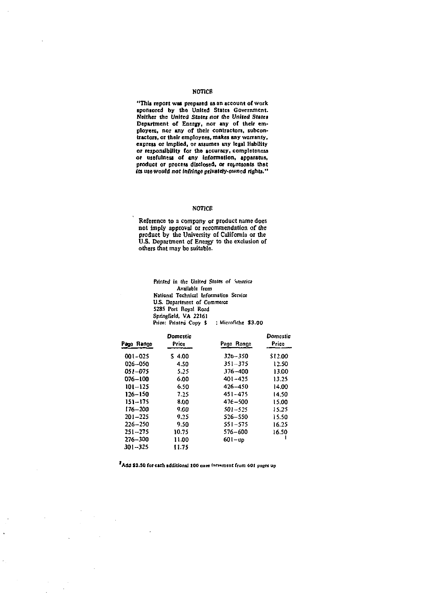#### **NOTICE**

**"This report was prepared as an account of work sponsored by the United States Government. Neither the United States nor the United States Department of Energy, nor any of their employees, nor any of their contractors, subcontractors, or their employees, makes any warranty, express or implied, or assumes any legal liability or responsibility for the accuracy, completeness or usefulness of any information, apparatus, product or process disclosed, or represents that its use would not Infringe privately-mvncd rights."** 

#### **NOTICE**

**Reference to a company or product name does not imply approval or recommendation of the product by the University of California or the U.S. Department of Energy to the exclusion of others that may be suitable-**

> **Printed in (he Untied** *Slates of [\tneh](file:///tnehca)ca*  **Available from National Technical Information Service U.S. Department of Commerce 5285 Port Royal Road Springfield, VA 22161**  Price: Printed Copy \$ : Microfiche \$3.00

|                | <b>Domastic</b> |             | Domestic |
|----------------|-----------------|-------------|----------|
| Page Range     | Price           | Page Ronge  | Price    |
| $001 - 025$    | 54.00           | $326 - 350$ | \$12.00  |
| 026-050        | 4.50            | $351 - 375$ | 12.50    |
| <b>DSI-075</b> | 5.25            | $376 - 400$ | 13.00    |
| 076-100        | 6.00            | $401 - 425$ | 13.25    |
| 101-125        | 6.50            | $426 - 450$ | 14.00    |
| $126 - 150$    | 7.25            | 451-475     | 14.50    |
| 151–175        | 8.00            | $476 - 500$ | 15.00    |
| $176 - 200$    | 9.00            | $501 - 525$ | 15.25    |
| $201 - 225$    | 9.25            | $526 - 550$ | 15.50    |
| $226 - 250$    | 9.50            | $551 - 575$ | 16.25    |
| $251 - 275$    | 10.75           | $576 - 600$ | 16.50    |
| 276-300        | 11.00           | 601-up      |          |
| $301 - 325$    | 11.75           |             |          |

Add \$2.50 for each additional 100 once increment from 601 pages up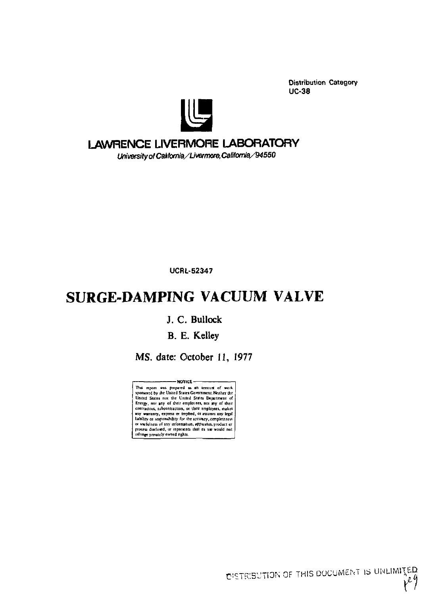**Distribution Category UC-38** 



## **LAWRENCE LIVERMORE LABORATORY**

University of California/Livermore, California/94550

**UCRL-52347** 

## **SURGE-DAMPING VACUUM VALVE**

### J. C. Bullock

## B. E. Kelley

MS. date: October 11, 1977

-NOTICE -This report was prepared as an account of work<br>University here Universal is an account of work<br>United States not the United States Department of Energy, no any of their emplotes, not may<br>consider the United States Departm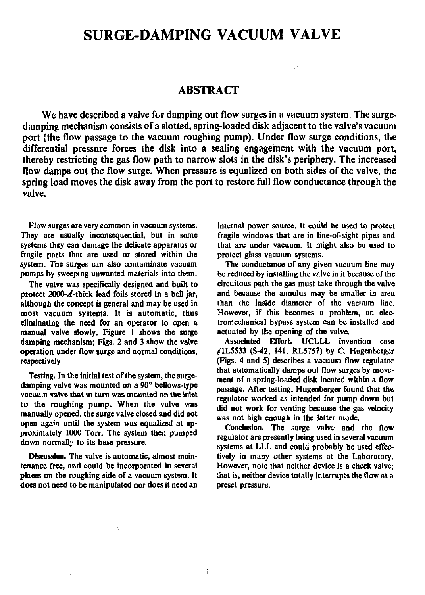## SURGE-DAMPING VACUUM VALVE

### **ABSTRACT**

**We have described a valve for damping out flow surges in a vacuum system. The surgedamping mechanism consists of a slotted, spring-loaded disk adjacent to the valve's vacuum port (the flow passage to the vacuum roughing pump). Under flow surge conditions, the differential pressure forces the disk into a sealing engagement with the vacuum port, thereby restricting the gas flow path to narrow slots in the disk's periphery. The increased flow damps out the flow surge. When pressure is equalized on both sides of the valve, the**  spring load moves the disk away from the port to restore full flow conductance through the **vaive.** 

**Flow surges are very common in vacuum systems. They are usually inconsequential, but in some systems they can damage the delicate apparatus or fragile parts that are used or stored within the system. The surges can also contaminate vacuum**  pumps by sweeping unwanted materials into them.

**The valve was specifically designed and built to**  protect 2000-A-thick lead foils stored in a bell jar, **although the concept is general and may be used in most vacuum systems. It is automatic, thus eliminating the need for an operator to open a manual valve slowly. Figure 1 shows the surge damping mechanism; Figs. 2 and 3 show the valve operation under flow surge and normal conditions, respectively.** 

**Testing. In the initial test of the system, the surgedamping valve was mounted on a 90° bellows-type vacuu.n valve that in turn was mounted on the inlet to the roughing pump. When the valve was manually opened, the surge valve closed and did not open again until the system was equalized at approximately 1000 Torr. The system then pumped down normally to its base pressure.** 

**Discussion. The valve is automatic, almost maintenance free, and could be incorporated in several places on the roughing side of a vacuum system. It does not need to be manipulated nor does it need an**  **internal power source. It could be used to protect fragile windows that are in line-of-sight pipes and that are under vacuum. It might also be used to protect glass vacuum systems.** 

**The conductance of any given vacuum line may be reduced by installing the valve in it because of the circuitous path the gas must take through the valve and because the annulus may be smaller in area than ihe inside diameter of the vacuum line. However, if this becomes a problem, an electromechanical bypass system can be installed and actuated by the opening of the valve.** 

**Associated Effort. UCLLL invention case #1L5533 (S-42, 141, RL5757) by C. Hugenberger (Figs. 4 and S) describes a vacuum flow regulator that automatically damps out flow surges by movement of a spring-loaded disk located within a flow passage. After testing, Hugenberger found that the regulator worked as intended for pump down but did not work for venting because the gas velocity was not high enough in the latter mode.** 

**Conclusion.** The surge valve and the flow **regulator are presently being used in several vacuum**  systems at LLL and could probably be used effec**tively in many other systems at the Laboratory. However, note that neither device is a check valve; that is, neither device totally interrupts the flow at a preset pressure.**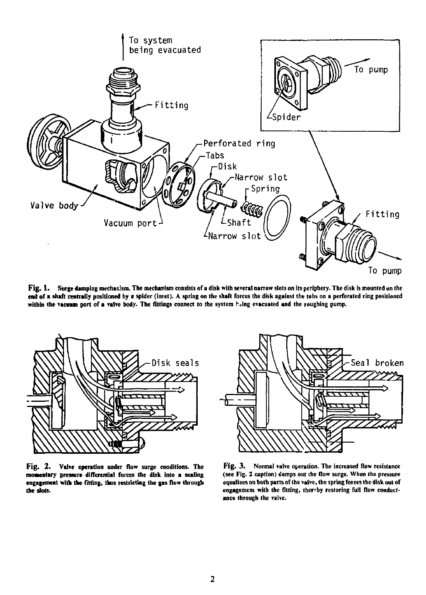

**Fig. 1 . Surge damping mechanism. The mechanism consists of a disk with several narrow slots on its periphery. The disk is mounted un the end of a shaft centrally positioned by a spider (Inret). A spring on the shaft forces the disk against the tabs on a perforated ring positioned**  within the vacuum port of a valve body. The fittings connect to the system *hang evacuated and the roughing pump.* 



**Fig. 2 . Valve operation under flow surge conditions. The**  momentary pressure differential forces the disk into a sealing **engagement with the fitting, thus restricting the gas flow through the slots.** 



**Fig. 3. Normal valve operation. The increased flow resistance (see Fig. 2 caption) damps out che flow surge. When the pressure equalizes on both parts of the valve, the spring forces the disk out of**  engagemem with the fitting, ther<sup>s</sup>by restoring full flow conduct**ance through the valve.**